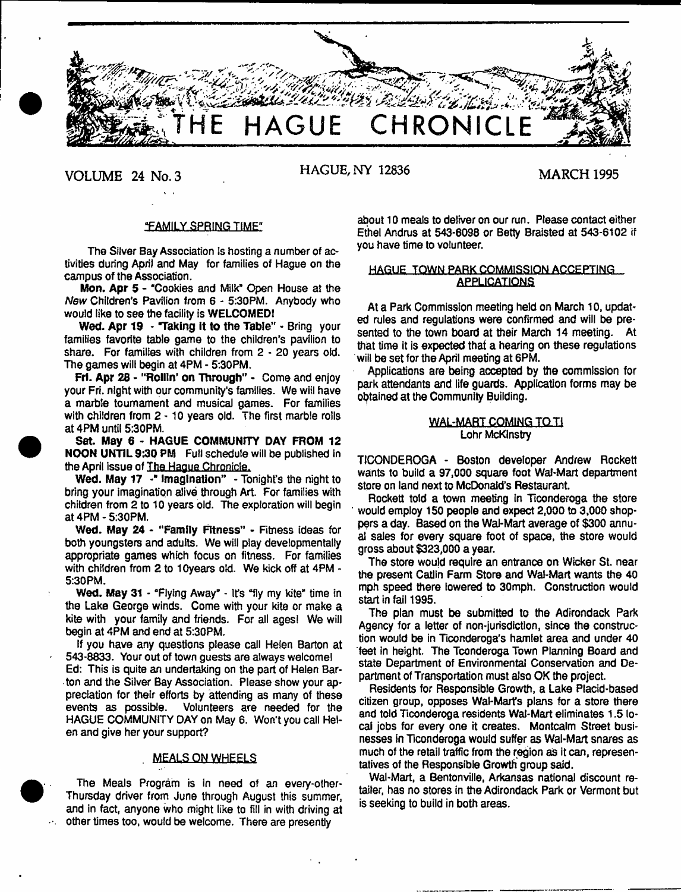

**VOLUME 24 No. 3 HAGUE, NY 12836 MARCH 1995**

# **"FAMILY SPRING TIME"**

The Silver Bay Association is hosting a number of activities during April and May for families of Hague on the campus of the Association.

Mon. Apr 5 - "Cookies and Milk" Open House at the *New* Children's Pavilion from 6 - 5:30PM. Anybody who would like to see the facility is WELCOMED!

Wed. Apr 19 - "Taking it to the Table" - Bring your families favorite table game to the children's pavilion to share. For families with children from 2 - 20 years old. The games will begin at 4PM - 5:30PM.

Frl. Apr 26 - "Rollin' on Through" - Come and enjoy your Fri. night with our community's families. We will have a marble tournament and musical games. For families with children from 2 - 10 years old. The first marble rolls at 4PM until 5:30PM.

Sat. May 6 - HAGUE COMMUNITY DAY FROM 12 NOON UNTIL 9:30 PM Full schedule will be published in the April issue of The Hague Chronicle.

Wed. May 17 -\* Imagination" - Tonight's the night to bring your imagination alive through Art. For families with children from 2 to 10 years old. The exploration will begin at 4PM - 5:30PM.

Wed. May 24 - "Family Fitness" - Fitness ideas for both youngsters and adults. We will play developmentally appropriate games which focus on fitness. For families with children from 2 to 10years old. We kick off at 4PM - 5:30PM.

Wed. May 31 - "Flying Away" - It's "fly my kite" time in the Lake George winds. Come with your kite or make a kite with your family and friends. For all ages! We will begin at 4PM and end at 5:30PM.

If you have any questions please call Helen Barton at 543-8833. Your out of town guests are always welcome! Ed: This is quite an undertaking on the part of Helen Barton and the Silver Bay Association. Please show your appreciation for their efforts by attending as many of these events as possible. Volunteers are needed for the HAGUE COMMUNITY DAY on May 6. Won't you call Helen and give her your support?

# **. MEALS ON WHEELS**

The Meals Program is in need of an every-other-Thursday driver from June through August this summer, and in fact, anyone who might like to fill in with driving at other times too, would be welcome. There are presently

 $\mathcal{O}(\mathcal{E})$ 

about 10 meals to deliver on our run. Please contact either Ethel Andrus at 543-6098 or Betty Braisted at 543-6102 if you have time to volunteer.

# HAGUE TOWN PARK COMMISSION ACCEPTING APPLICATIONS

At a Park Commission meeting held on March 10, updated rules and regulations were confirmed and will be presented to the town board at their March 14 meeting. At that time it is expected that a hearing on these regulations will be set for the April meeting at 6PM.

Applications are being accepted by the commission for park attendants and life guards. Application forms may be obtained at the Community Building.

# **WAL-MART COMING TO TI** Lohr McKinstry

TICONDEROGA - Boston developer Andrew Rockett wants to build a 97,000 square foot Wal-Mart department store on land next to McDonald's Restaurant.

Rockett told a town meeting in Ticonderoga the store would employ 150 people and expect 2,000 to 3,000 shoppers a day. Based on the Wal-Mart average of \$300 annual sales for every square foot of space, the store would gross about \$323,000 a year.

The store would require an entrance on Wicker St. near the present Catlln Farm Store and Wal-Mart wants the 40 mph speed there lowered to 30mph. Construction would start in fail 1995.

The plan must be submitted to the Adirondack Park Agency for a letter of non-jurisdiction, since the construction would be in Ticonderoga's hamlet area and under 40 feet in height. The Tconderoga Town Planning Board and state Department of Environmental Conservation and Department of Transportation must also OK the project.

Residents for Responsible Growth, a Lake Placid-based citizen group, opposes Wal-Marfs plans for a store there and told Ticonderoga residents Wal-Mart eliminates 1.5 local jobs for every one it creates. Montcalm Street businesses in Ticonderoga would suffer as Wal-Mart snares as much of the retail traffic from the region as it can, representatives of the Responsible Growth group said.

Wal-Mart, a Bentonville, Arkansas national discount retailer, has no stores in the Adirondack Park or Vermont but is seeking to build in both areas.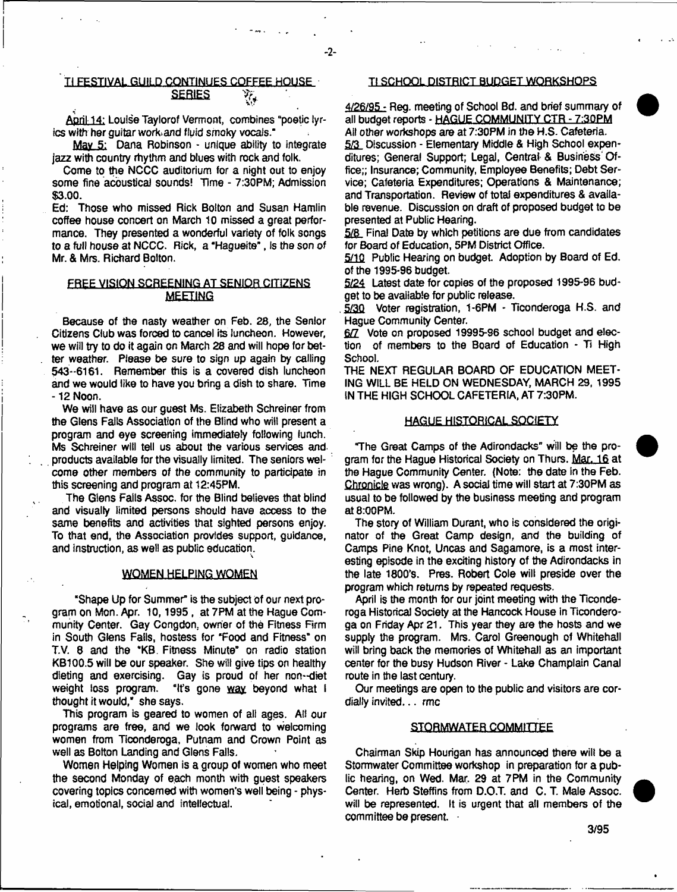# **SERIES**  $\forall$ <sub>i</sub>

 $-2-$ 

April 14: Louise Taylorof Vermont, combines "poetic lyrics with her quitar work and fluid smoky vocals."

May 5: Dana Robinson - unique ability to integrate jazz with country rhythm and blues with rock and folk.

Come to the NCCC auditorium for a night out to enjoy some fine acoustical sounds! Time - 7:30PM; Admission \$3.00.

Ed: Those who missed Rick Boiton and Susan Hamlin coffee house concert on March 10 missed a great performance. They presented a wonderful variety of folk songs to a full house at NCCC. Rick, a "Hagueite", Is the son of Mr. & Mrs. Richard Bolton.

# FREE VISION SCREENING AT SENIOR CITIZENS **MEETING**

Because of the nasty weather on Feb. 28, the Senior Citizens Club was forced to cancel its luncheon. However, we will try to do it again on March 28 and will hope for better weather. Please be sure to sign up again by calling 543-6161. Remember this is a covered dish luncheon and we would like to have you bring a dish to share. Time -12 Noon.

We will have as our guest Ms. Elizabeth Schreiner from the Glens Fails Association of the Blind who will present a program and eye screening immediately following lunch. Ms Schreiner will tell us about the various services and. products available for the visually limited. The seniors welcome other members of the community to participate in this screening and program at 12:45PM.

The Glens Fails Assoc, for the Blind believes that blind and visually limited persons should have access to the same benefits and activities that sighted persons enjoy. To that end, the Association provides support, guidance, and instruction, as well as public education.

#### **WOMEN HELPING WOMEN**

"Shape Up for Summer" is the subject of our next program on Mon. Apr. 10,1995 , at 7PM at the Hague Community Center. Gay Congdon. owner of the Fitness Firm in South Glens Falls, hostess for "Food and Fitness" on T.V. 8 and the "KB. Fitness Minute" on radio station KB100.5 will be our speaker. She will give tips on healthy dieting and exercising. Gay is proud of her non--diet weight loss program. "It's gone way beyond what i "It's gone way beyond what I thought it would,' she says.

This program is geared to women of all ages. All our programs are free, and we look forward to welcoming women from Ticonderoga, Putnam and Crown Point as well as Botton Landing and Glens Falls.

Women Helping Women is a group of women who meet the second Monday of each month with guest speakers covering topics concerned with women's well being - physical, emotional, social and intellectual.

# H FESTIVAL GUILD CONTINUES COFFEE HOUSE Tl SCHOOL DISTRICT BUDGET WORKSHOPS

4/26/95 - Reg. meeting of School Bd. and brief summary of all budget reports - HAGUE COMMUNITY CTR - 7:30PM Ai! other workshops are at 7:30PM in the H.S. Cafeteria. 5/3 Discussion - Elementary Middle & High School expenditures; General Support; Legal, Central & Business' Office;; Insurance; Community, Employee Benefits; Debt Service; Cafeteria Expenditures; Operations & Maintenance; and Transportation. Review of total expenditures & available revenue. Discussion on draft of proposed budget to be presented at Public Hearing,

5/8 Final Date by which petitions are due from candidates for Board of Education, 5PM District Office.

5/10 Public Hearing on budget. Adoption by Board of Ed. of the 1995-96 budget

5/24 Latest date for copies of the proposed 1995-96 budget to be available for public release.

5/30 Voter registration, 1-6PM - Ticonderoga H.S. and Hague Community Center.

6/7 Vote on proposed 19995-96 school budget and election of members to the Board of Education - Ti High School.

THE NEXT REGULAR BOARD OF EDUCATION MEET-ING WILL BE HELD ON WEDNESDAY, MARCH 29, 1995 IN THE HIGH SCHOOL CAFETERIA, AT 7:30PM.

#### HAGUE HISTORICAL SOCIETY

"The Great Camps of the Adirondacks" will be the program for the Hague Historical Society on Thurs. Mar. 16 at the Hague Community Center. (Note: the date in the Feb. Chronicle was wrong). A social time will start at 7:30PM as usual to be followed by the business meeting and program at 8:00PM.

The story of William Durant, who is considered the originator of the Great Camp design, and the building of Camps Pine Knot, Uncas and Sagamore, is a most interesting episode in the exciting history of the Adirondacks in the late 1800's. Pres. Robert Cole will preside over the program which returns by repeated requests.

April is the month for our joint meeting with the Ticonderoga Historical Society at the Hancock House in Ticonderoga on Friday Apr 21. This year they are the hosts and we supply the program. Mrs. Carol Greenough of Whitehall will bring back the memories of Whitehall as an important center for the busy Hudson River - Lake Champlain Canal route in the last century.

Our meetings are open to the public and visitors are cordially invited... rmc

#### STQRMWATER COMMITTEE

Chairman Skip Hourigan has announced there wilt be a Stormwater Committee workshop in preparation for a public hearing, on Wed. Mar. 29 at 7PM in the Community Center. Herb Steffins from D.O.T. and C. T. Male Assoc. will be represented. It is urgent that ail members of the committee be present. •

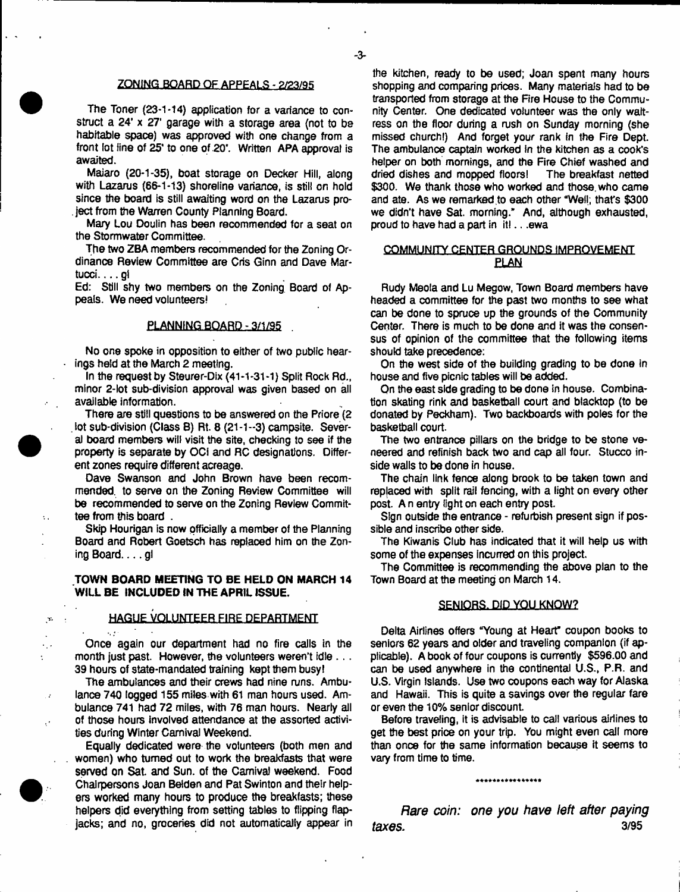## ZONING BOARD OF APPEALS - 2/23/95

The Toner (23-1-14) application for a variance to construct a 24' x 27' garage with a storage area (not to be habitable space) was approved with one change from a front lot line of 25' to one of 20'. Written APA approval is awaited.

Maiaro (20-1-35), boat storage on Decker Hill, along with Lazarus (66-1-13) shoreline variance, is still on hold since the board is still awaiting word on the Lazarus project from the Warren County Planning Board.

Mary Lou Doulin has been recommended for a seat on the Stormwater Committee.

The two ZBA members recommended for the Zoning Ordinance Review Committee are Cris Ginn and Dave Martucci.... gl

Ed: Still shy two members on the Zoning. Board of Appeals. We need volunteers!

# PLANNING BOARD - 3/1/95

No one spoke in opposition to either of two public hearings held at the March 2 meeting.

In the request by Steurer-Dix (41-1-31-1) Split Rock Rd., minor 2-lot sub-division approval was given based on all available information.

There are still questions to be answered on the Priore (2 lot sub-division (Class B) Rt. 8 (21-1-3) campsite. Several board members will visit the site, checking to see if the property is separate by OCi and RC designations. Different zones require different acreage.

Dave Swanson and John Brown have been recommended. to serve on the Zoning Review Committee will be recommended to serve on the Zoning Review Committee from this board .

Skip Hourigan is now officially a member of the Planning Board and Robert Goetsch has replaced him on the Zon $ing Board...$  gl

# **TOWN BOARD MEETING TO BE HELD ON MARCH 14 WILL BE INCLUDED IN THE APRIL ISSUE.**

# HAGUE VOLUNTEER FIRE DEPARTMENT

Once again our department had no fire calls in the month just past. However, the volunteers weren't idle . . . 39 hours of state-mandated training kept them busy!

The ambulances and their crews had nine runs. Ambulance 740 logged 155 miles with 61 man hours used. Ambulance 741 had 72 miles, with 76 man hours. Nearly all of those hours involved attendance at the assorted activities during Winter Carnival Weekend.

Equally dedicated were the volunteers (both men and women) who turned out to work the breakfasts that were served on Sat. and Sun. of the Carnival weekend. Food Chairpersons Joan Belden and Pat Swinton and their helpers worked many hours to produce the breakfasts; these helpers did everything from setting tables to flipping flapjacks; and no, groceries did not automatically appear in

the kitchen, ready to be used; Joan spent many hours shopping and comparing prices. Many materials had to be transported from storage at the Fire House to the Community Center. One dedicated volunteer was the only waitress on the floor during a rush on Sunday morning (she missed church!) And forget your rank in the Fire Dept. The ambulance captain worked in the kitchen as a cook's helper on both mornings, and the Fire Chief washed and dried dishes and mopped floors! The breakfast netted dried dishes and mopped floors! \$300. We thank those who worked and those who came and ate. As we remarked to each other "Well; that's \$300 we didn't have Sat. morning.'' And, although exhausted, proud to have had a part in itl.. .ewa

# COMMUNITY CENTER GROUNDS IMPROVEMENT ELAN

Rudy Meola and Lu Megow, Town Board members have headed a committee for the past two months to see what can be done to spruce up the grounds of the Community Center. There is much to be done and it was the consensus of opinion of the committee that the following items should take precedence:

On the west side of the building grading to be done in house and five picnic tables will be added.

Qn the east side grading to be done In house. Combination skating rink and basketball court and blacktop (to be donated by Peckham). Two backboards with poles for the basketball court.

The two entrance pillars on the bridge to be stone veneered and refinish back two and cap all four. Stucco inside walls to be done in house.

The chain link fence along brook to be taken town and replaced with split rail fencing, with a light on every other post. A n entry light on each entry post.

Sign outside the entrance - refurbish present sign if possible and inscribe other side.

The Kiwanis Club has indicated that it will help us with some of the expenses incurred on this project.

The Committee is recommending the above plan to the Town Board at the meeting on March 14.

# SENIORS. DID YOU KNOW?

Delta Airlines offers "Young at Heart' coupon books to seniors 62 years and older and traveling companion (if applicable). A book of four coupons is currently \$596.00 and can be used anywhere in the continental U.S., P.R. and U.S. Virgin Islands. Use two coupons each way for Alaska and Hawaii. This is quite a savings over the regular fare or even the 10% senior discount

Before traveling, it is advisable to call various airlines to get the best price on your trip. You might even call more than once for the same information because it seems to vary from time to time.

\*\*\*\*\*\*\*\*\*\*\*\*\*\*\*

*Rare coin: one you have left after paying taxes*- 3/95



 $\sigma_{\rm s}$ 

 $\sim 10^{-1}$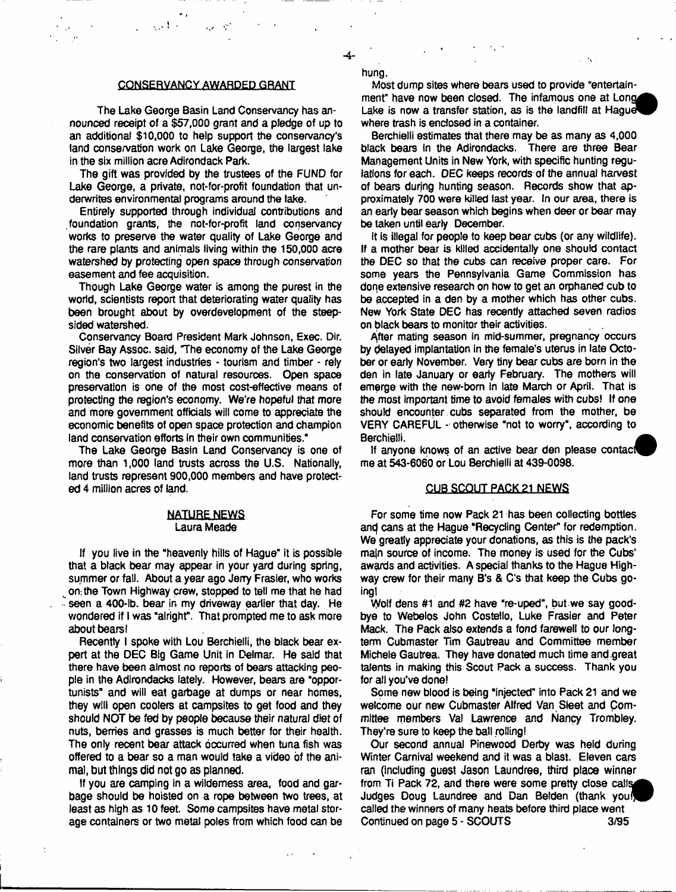hung.

#### **CONSERVANCY AWARDED GRANT**

 $\sim 1$  .

The Lake George Basin Land Conservancy has announced receipt of a \$57,000 grant and a pledge of up to an additional \$10,000 to help support the conservancy's land conservation work on Lake George, the largest lake in the six million acre Adirondack Park.

The gift was provided by the trustees of the FUND for Lake George, a private, not-for-profit foundation that underwrites environmental programs around the lake.

Entirely supported through individual contributions and .foundation grants, the not-for-profit land conservancy works to preserve the water quality of Lake George and the rare plants and animals living within the 150,000 acre watershed by protecting open space through conservation easement and fee acquisition.

Though Lake George water is among the purest in the world, scientists report that deteriorating water quality has been brought about by overdevelopment of the steepsided watershed.

Conservancy Board President Mark Johnson, Exec. Dir. Silver Bay Assoc, said, The economy of the Lake George region's two largest industries - tourism and timber - rely on the conservation of natural resources. Open space preservation is one of the most cost-effective means of protecting the region's economy. We're hopeful that more and more government officials will come to appreciate the economic benefits of open space protection and champion land conservation efforts in their own communities."

The Lake George Basin Land Conservancy is one of more than 1,000 land trusts across the U.S. Nationally, land trusts represent 900,000 members and have protected 4 million acres of land.

#### **NATURE NEWS** Laura Meade

If you live in the "heavenly hills of Hague" it is possible that a black bear may appear in your yard during spring, summer or fall. About a year ago Jerry Frasier, who works on; the Town Highway crew, stopped to tell me that he had seen a 400-ib. bear in my driveway earlier that day. He wondered if I was "alright". That prompted me to ask more about bears I

Recently I spoke with Lou Berchielli, the black bear expert at the DEC Big Game Unit in Qelmar. He said that there have been almost no reports of bears attacking people in the Adirondacks lately. However, bears are "opportunists" and will eat garbage at dumps or near homes, they will open coolers at campsites to get food and they should NOT be fed by people because their natural diet of nuts, berries and grasses is much better for their health. The only recent bear attack occurred when tuna fish was offered to a bear so a man would take a video of the animal, but things did not go as planned.

If you are camping in a wilderness area, food and garbage should be hoisted on a rope between two trees, at least as high as 10 feet. Some campsites have metal storage containers or two metal poles from which food can be

Most dump sites where bears used to provide "entertainment" have now been closed. The infamous one at Long Lake is now a transfer station, as is the landfill at Haquet where trash is enclosed in a container.

Berchielli estimates that there may be as many as 4,000 black bears in the Adirondacks. There are three Bear Management Units in New York, with specific hunting regulations for each. DEC keeps records of the annual harvest of bears during hunting season. Records show that approximately 700 were killed last year. In our area, there is an early bear season which begins when deer or bear may be taken until early December.

It is illegal for people to keep bear cubs (or any wildlife). If a mother bear is killed accidentally one should contact the DEC so that the cubs can receive proper care. For some years the Pennsylvania Game Commission has done extensive research on how to get an orphaned cub to be accepted in a den by a mother which has other cubs. New York State DEC has recently attached seven radios on black bears to monitor their activities.

After mating season in mid-summer, pregnancy occurs by belayed implantation in the female's uterus in late October or early November. Very tiny bear cubs are born in the den in late January or early February. The mothers will emerge with the new-born in late March or April. That is the most important time to avoid females with cubs! If one should encounter cubs separated from the mother, be VERY CAREFUL - otherwise "not to worry", according to Berchielli.

If anyone knows of an active bear den please contact me at 543-6060 or Lou Berchielli at 439-0098.

#### CUB SCOUT PACK 21 NEWS

For some time now Pack 21 has been collecting bottles and cans at the Hague "Recycling Center" for redemption. We greatly appreciate your donations, as this is the pack's main source of income. The money is used for the Cubs' awards and activities. A special thanks to the Hague Highway crew for their many B's & C's that keep the Cubs goingl

Wolf dens #1 and #2 have "re-uped", but we say goodbye to Webelos John Costello, Luke Frasier and Peter Mack. The Pack also extends a fond farewell to our longterm Cubmaster Tim Gautreau and Committee member Michele Gautrea. They have donated much time and.great talents in making this Scout Pack a success. Thank you for all you've done!

Some new blood is being "injected" into Pack 21 and we welcome our new Cubmaster Alfred Van Sleet and Committee members Va! Lawrence and Nancy Trombley. They're sure to keep the ball rolling!

Our second annual Pinewood Derby was held during Winter Carnival weekend and it was a blast. Eleven cars ran (including guest Jason Laundree, third place winner from Ti Pack 72, and there were some pretty close calls Judges Doug Laundree and Dan Belden (thank you! called the winners of many heats before third place went Continued on page 5 - SCOUTS 3/95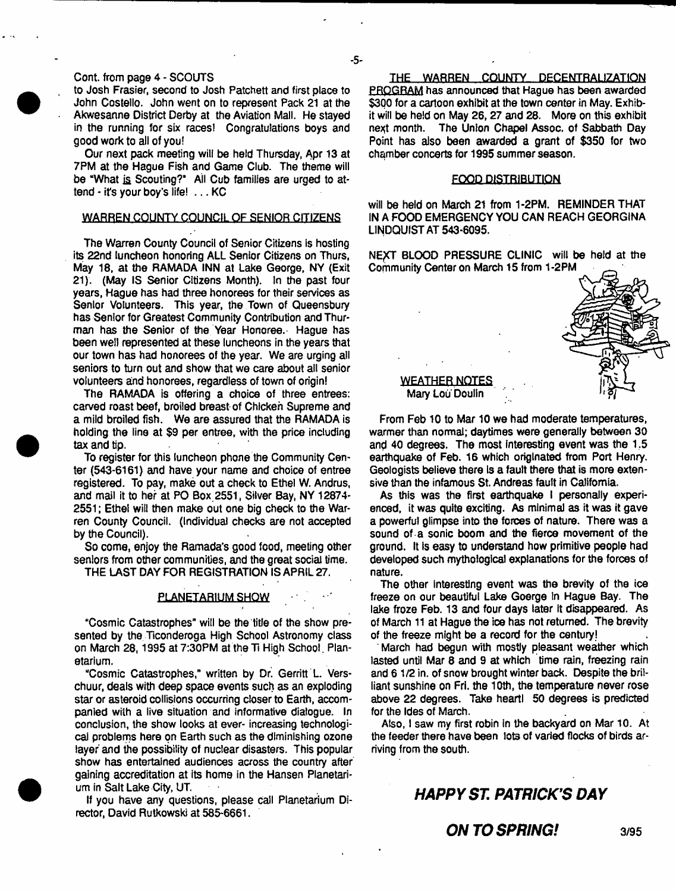# Cont. from page 4 - SCOUTS

to Josh Frasier, second to Josh Patchett and first place to John Costello. John went on to represent Pack 21 at the Akwesanne District Derby at the Aviation Mall. He stayed in the running for six races! Congratulations boys and good work to ail of you!

Our next pack meeting will be held Thursday, Apr 13 at 7PM at the Hague Fish and Game Club. The theme will be "What is Scouting?' All Cub families are urged to attend - it's your boy's life! ... KC

# WARREN COUNTY COUNCIL OF SENIOR CITIZENS

The Warren County Council of Senior Citizens is hosting its 22nd luncheon honoring ALL Senior Citizens on Thurs, May 18, at the RAMADA INN at Lake George, NY (Exit 21). (May IS Senior Citizens Month). In the past four years, Hague has had three honorees for their services as Senior Volunteers. This year, the Town of Queensbury has Senior for Greatest Community Contribution and Thurman has the Senior of the Year Honoree.' Hague has been well represented at these luncheons in the years that our town has had honorees of the year. We are urging all seniors to turn out and show that we care about all senior volunteers and honorees, regardless of town of origin!

The RAMADA is offering a choice of three entrees: carved roast beef, broiled breast of Chicken Supreme and a mild broiled fish. We are assured that the RAMADA is holding the line at \$9 per entree, with the price including tax and tip.

To register for this luncheon phone the Community Center (543-6161) and have your name and choice of entree registered. To pay, make out a check to Ethel W. Andrus, and mail it to her at PO Box 2551, Silver Bay, NY 12874- 2551; Ethel will then make out one big check to the Warren County Council. (Individual checks are not accepted by the Council).

So come, enjoy the Ramada's good food, meeting other seniors from other communities, and the great social time. THE LAST DAY FOR REGISTRATION IS APRIL 27.

# PLANETARIUM SHOW

"Cosmic Catastrophes" will be the title of the show presented by the Ticonderoga High School Astronomy class on March 28, 1995 at 7:30PM at the Ti High School . Planetarium.

"Cosmic Catastrophes," written by Dr. Gerritt L. Verschuur, deals with deep space events such as an exploding star or asteroid collisions occurring closer to Earth, accompanied with a live situation and informative dialogue. In conclusion, the show looks at ever- increasing technological problems here on Earth such as the diminishing ozone layer and the possibility of nuclear disasters. This popular show has entertained audiences across the country after gaining accreditation at its home in the Hansen Planetarium in Salt Lake City, UT.

If you have any questions, please call Planetarium Director, David Rutkowski at 585-6661.

THE WARREN COUNTY. DECENTRALIZATION PROGRAM has announced that Hague has been awarded \$300 for a cartoon exhibit at the town center in May. Exhibit will be held on May 26,27 and 28. More on this exhibit next month. The Union Chapel Assoc, of Sabbath Day Point has also been awarded a grant of \$350 for two chamber concerts for 1995 summer season.

## FOOD DISTRIBUTION

will be held on March 21 from 1-2PM. REMINDER THAT IN A FOOD EMERGENCY YOU CAN REACH GEORGINA LINDQUIST AT 543-6095.

NEXT BLOOD PRESSURE CLINIC will be held at the Community Center on March 15 from 1-2PM



WEATHER NOTES Mary Lou Doulln

From Feb 10 to Mar 10 we had moderate temperatures, warmer than normal; daytimes were generally between 30 and 40 degrees. The most interesting event was the 1.5 earthquake of Feb. 16 which originated from Port Henry. Geologists believe there Is a fault there that is more extensive than the infamous St. Andreas fault in California.

As this was the first earthquake I personally experienced, it was quite exciting. As minimal as it was it gave a powerful glimpse into the forces of nature. There was a sound of a sonic boom and the fierce movement of the ground. It Is easy to understand how primitive people had developed such mythological explanations for the forces of nature.

The other interesting event was the brevity of the ice freeze on our beautiful Lake Goerge In Hague Bay. The lake froze Feb. 13 and four days later it disappeared. As of March 11 at Hague the ice has not returned. The brevity of the freeze might be a record for the century!

March had begun with mostly pleasant weather which lasted until Mar 8 and 9 at which time rain, freezing rain and 6 1/2 in. of snow brought winter back. Despite the brilliant sunshine on Fri. the 10th, the temperature never rose above 22 degrees. Take heartl 50 degrees is predicted for the Ides of March.

Also, I saw my first robin in the backyard on Mar 10. At the feeder there have been **lot3 of** varied flocks of birds arriving from the south.

# *HAPPY ST. PATRICK'S DAY*

**ON TO SPRING!** 3/95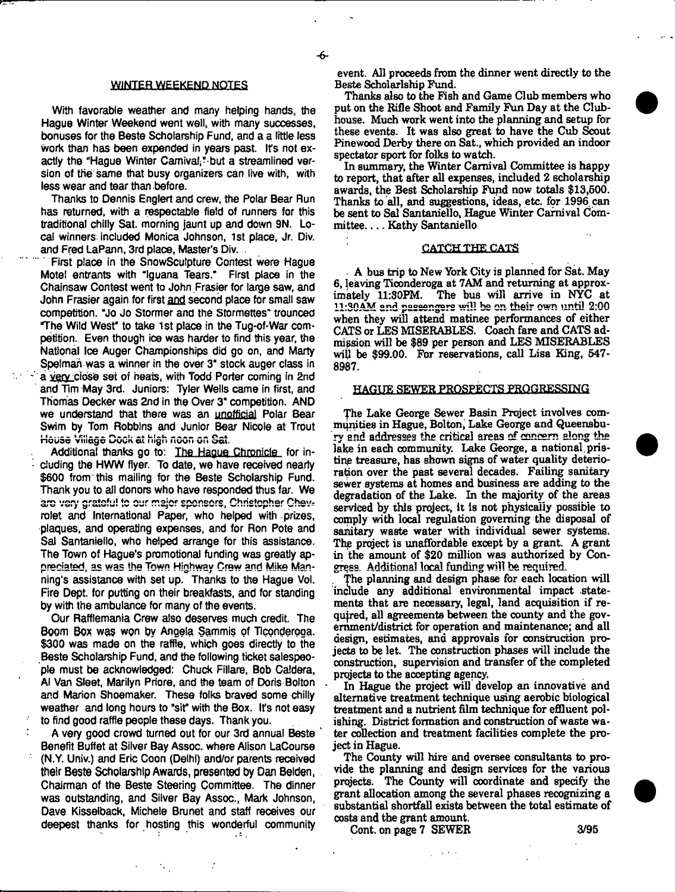÷

#### **WINTER WEEKEND NOTES**

With favorable weather and many helping hands, the Hague Winter Weekend went well, with many successes, bonuses for the Beste Scholarship Fund, and a a little less work than has been expended in years past. Ifs not exactly the "Hague Winter Carnival;"-but a streamlined version of the same that busy organizers can live with, with less wear and tear than before.

Thanks to Dennis Englert and crew, the Polar Bear Run has returned, with a respectable field of runners for this traditional chilly Sat. morning jaunt up and down 9N. Local winners: included Monica Johnson, 1st place, Jr. Div. and Fred LaPann, 3rd place, Master's Div. .

First place in the SnowSculpture Contest were Hague Mote! entrants with "Iguana Tears." First place in the Chainsaw Contest went to John Frasier for large saw, and John Frasier again for first and second place for small saw competition. "Jo Jo Stormer and the Stormettes" trounced "The Wild West" to take 1st place in the Tug-of-War competition. Even though ice was harder to find this year, the National Ice Auger Championships did go on, and Marty Spelmah was a winner in the over 3" stock auger class in a very ciose set of heats, with Todd Porter coming in 2nd and **Tim** May 3rd. Juniors: Tyler Wells came in first, and Thomas Decker was 2nd in the Over 3" competition. AND we understand that there was an unofficial Polar Bear Swim by Tom Robbins and Junior Bear Nicole at Trout House Village Dock at high noon on Sat.

Additional thanks go to: The Hague Chronicle for including the HWW flyer. To date, we have received nearly \$600 from this mailing for the Beste Scholarship Fund. Thank you to all donors who have responded thus far. We are very gratefu! to our major sponsors, Christopher Chevrolet and International Paper, who helped with prizes, plaques, and operating expenses, and for Ron Pote and Sal Santaniello, who helped arrange for this assistance. The Town of Hague's promotional funding was greatly appreciated, as was the Town Highway Crew and Mike Manning's assistance with set up. Thanks to the Hague Vol. Fire Dept, for putting on their breakfasts, and for standing by with the ambulance for many of the events.

Our Rafflemania Crew also deserves much credit. The Boom Box was won by Angela Sammis of Ticonderoga. \$300 was made on the raffle, which goes directly to the Beste Scholarship Fund, and the following ticket salespeople must be acknowledged: Chuck Fillare, Bob Caldera, At Van Sleet, Marilyn Priore, and the team of Doris Bolton and Marion Shoemaker. These folks braved some chilly weather and long hours to "sit" with the Box. Ifs not easy to find good raffle people these days. Thank you.

A very good crowd turned out for our 3rd annual Beste ' Benefit Buffet at Silver Bay Assoc, where Alison LaCourse (N.Y. Univ.) and Eric Coon (Delhi) and/or parents received their Beste Scholarship Awards, presented by Dan Belden, Chairman of the Beste Steering Committee. The dinner was outstanding, and Silver Bay Assoc., Mark Johnson, Dave Kisselback, Michele Brunet and staff receives our deepest thanks for hosting this wonderful community

 $\cdot$ 

event. All proceeds from the dinner went directly to the Beste Scholarlship Fund.

Thanks also to the Fish and Game Club members who put on the Rifle Shoot and Family Fun Day at the Clubhouse. Much work went into the planning and setup for these events. It was also great to have the Cub Scout Pinewood Derby there on Sat., which provided an indoor spectator sport for folks to watch.

In summary, the Winter Carnival Committee is happy to report, that after all expenses, included 2 scholarship awards, the Best Scholarship Fund now totals \$13,500, Thanks to all, and suggestions, ideas, etc. for 1996 can be sent to Sal Santaniello, Hague Winter Carnival Committee. . . . Kathy Santaniello

#### CATCH THE CATS

A bus trip to New York City is planned for Sat. May 6, leaving Ticonderoga at 7AM and returning at approximately 11:30FM. The bus will arrive in NYC at 11:30AM and passengers will be on their own until 2:00 when they will attend matinee performances of either CATS or LES MISERABLES. Coach fare and CATS admission will be \$89 per person and LES MISERABLES will be \$99.00. For reservations, call Lisa King, 547- 8987.

#### HAGUE SEWER PROSPECTS PROGRESSING

The Lake George Sewer Basin Project involves communities in Hague, Bolton, Lake George and Queensbury and addresses the critical areas of concern along the lake in each community. Lake George, a national pristine treasure, has shown signs of water quality deterioration over the past several decades. Failing sanitary sewer systems at homes and business are adding to the degradation of the Lake. In the majority of the areas serviced by this project, it is not physically possible to comply with local regulation governing the disposal of sanitary waste water with individual sewer systems. The project is unaffordable except by a grant. A grant in the amount of \$20 million was authorized by Congees. Additional local funding will be required.

The planning and design phase for each location will include any additional environmental impact statements that are necessary, legal, land acquisition if required, all agreements between the county and the government/district for operation and maintenance; and all design, estimates, and approvals for construction projects to be let. The construction phases will include the construction, supervision and transfer of the completed projects to the accepting agency.

In Hague the project will develop an innovative and alternative treatment technique using aerobic biological treatment and a nutrient film technique for effluent polishing. District formation and construction of waste water collection and treatment facilities complete the project in Hague.

The County will hire and oversee consultants to provide the planning and design services for the various projects. The County will coordinate and specify the grant allocation among the several phases recognizing a substantial shortfall exists between the total estimate of costs and the grant amount.

Cont. on page 7 SEWER 3/95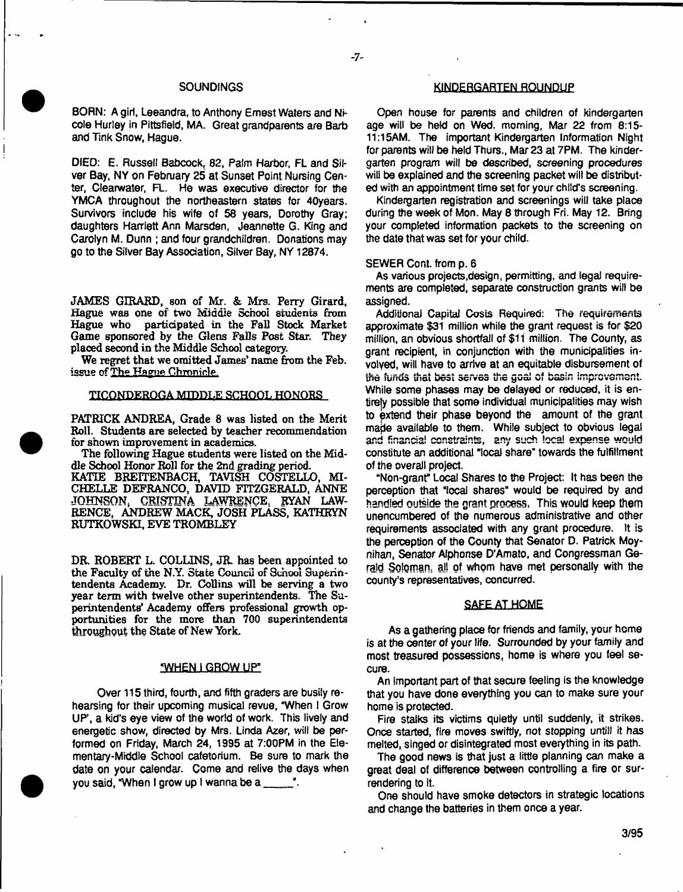# **SOUNDINGS**

BORN: A girl, Leeandra, to Anthony Ernest Waters and Nicole Hurley in Pittsfield, MA. Great grandparents are Barb and Tink Snow, Hague.

DIED: E. Russell Babcock, 82, Palm Harbor, FL and Silver Bay, NY on February 25 at Sunset Point Nursing Center, Clearwater, FL. He was executive director for the YMCA throughout the northeastern states for 40years. **Survivors** include his wife of 58 years, Dorothy Gray: daughters Harriett Ann Marsden, Jeannette G. King and Carolyn M. Dunn ; and four grandchildren. Donations may go to the Silver Bay Association, Silver Bay, NY 12874.

JAMES GIRARD, son of Mr. & Mrs. Perry Girard, Hague was one of two Middle School students from participated in the Fall Stock Market Game sponsored by the Glens Falls Post Star. They placed second in the Middle School category.

We regret that we omitted James' name from the Feb. issue of The Hague Chronicle.

#### TICONDEROGA MIDDLE SCHOOL HONORS

PATRICK ANDREA, Grade 8 was listed on the Merit Roll. Students are selected by teacher recommendation for shown improvement in academics.

The following Hague students were listed on the Middle School Honor Roll for the 2nd grading period. KATIE BREITENBACH, TAVISH COSTELLO, MI-CHELLE DEFRANCO, DAVID FITZGERALD, ANNE JOHNSON, CRISTINA LAWRENCE. RYAN LAW-RENCE, ANDREW MACK, JOSH PLASS, KATHRYN KUTKOWSKI, EVE TROMBLEY

DR. ROBERT L. COLLINS, JR. has been appointed to the Faculty of the N.Y, State Council of School Superintendents Academy. Dr. Collins will be serving a two year term with twelve other superintendents. The Superintendents' Academy offers professional growth opportunities for the more than 700 superintendents throughout the State of New York.

#### **WHEN LGROW UP"**

Over 115 third, fourth, and fifth graders are busily rehearsing for their upcoming musical revue, "When I Grow UP', a kid's eye view of the world of work. This lively and energetic show, directed by Mrs, Linda Azer, will be performed on Friday, March 24, 1995 at 7:00PM in the Elementary-Middie School cafetorium. Be sure to mark the date on your calendar. Come and relive the days when you said, "When I grow up I wanna be a  $\frac{1}{\sqrt{2}}$ .

# **KINDERGARTEN ROUNDUP**

Open house for parents and children of kindergarten age will be held on Wed. morning, Mar 22 from 8:15- 11:15AM. The important Kindergarten Information Night for parents will be held Thurs., Mar 23 at 7PM. The kindergarten program will be described, screening procedures will be explained and the screening packet will be distributed with an appointment time set for your child's screening.

Kindergarten registration and screenings will take place during the week of Mon. May 8 through Fri. May 12. Bring your completed information packets to the screening on the date that was set for your child.

#### SEWER Cont. from p. 6

As various projects,design, permitting, and legal requirements are completed, separate construction grants will be assigned.

Additional Capital Costs Required: The requirements approximate \$31 million while the grant request is for \$20 million, an obvious shortfall of \$11 million. The County, as grant recipient, in conjunction with the municipalities involved, will have to arrive at an equitable disbursement of the funds that best serves the goal of basin improvement. While some phases may be delayed or reduced, it is entirely possible that some individual municipalities may wish to extend their phase beyond the amount of the grant made available to them. While subject to obvious legal and financial constraints, any such local expense would constitute an additional "local share" towards the fulfillment of the overall project.

"Non-grant" Local Shares to the Project: It has been the perception that "local shares" would be required by and handled outside the grant process, This would keep them unencumbered of the numerous administrative and other requirements associated with any grant procedure. It is the perception of the County that Senator D. Patrick Moynihan, Senator Alphonse D'Amato, and Congressman Gerald Soloman, all of whom have met personally with the county's representatives, concurred.

# SAFE AT HOME

**As a gathering place for friends and family, your home is at the center of your life. Surrounded by your family and most treasured possessions, home is where you feel secure.**

An important part of that secure feeling is the knowledge that you have done everything you can to make sure your home is protected.

Fire stalks its victims quietly until suddenly, it strikes. Once started, fire moves swiftly, not stopping untill it has melted, singed or disintegrated most everything in its path.

The good news is that just a little planning can make a great deal of difference between controlling a fire or surrendering to it.

One should have smoke detectors in strategic locations and change the batteries in them once a year.